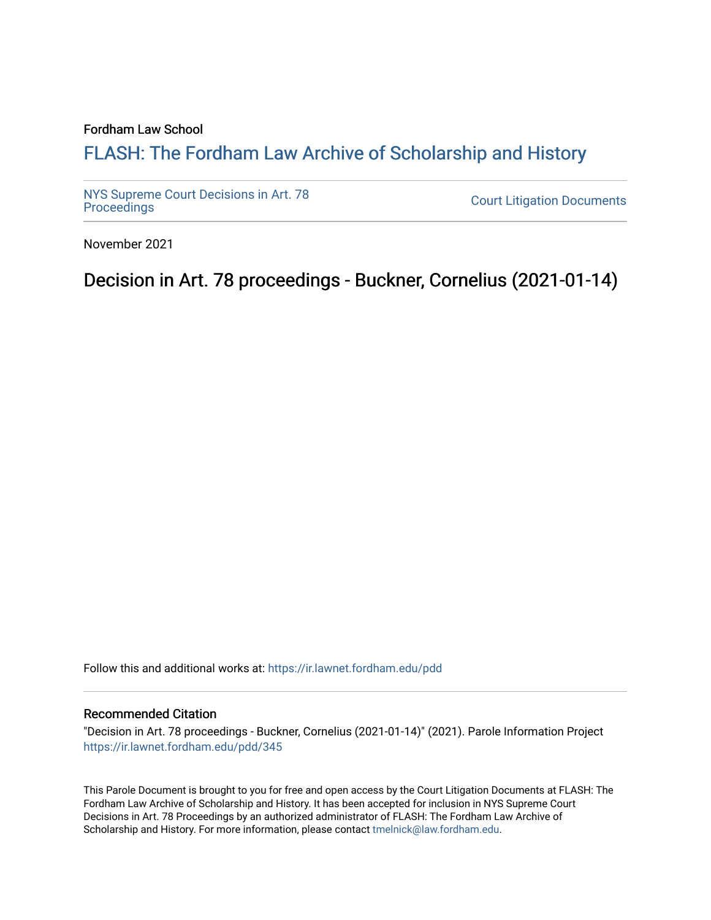### Fordham Law School

# FLASH: The For[dham Law Archive of Scholarship and Hist](https://ir.lawnet.fordham.edu/)ory

[NYS Supreme Court Decisions in Art. 78](https://ir.lawnet.fordham.edu/pdd)

**Court Litigation Documents** 

November 2021

Decision in Art. 78 proceedings - Buckner, Cornelius (2021-01-14)

Follow this and additional works at: [https://ir.lawnet.fordham.edu/pdd](https://ir.lawnet.fordham.edu/pdd?utm_source=ir.lawnet.fordham.edu%2Fpdd%2F345&utm_medium=PDF&utm_campaign=PDFCoverPages)

#### Recommended Citation

"Decision in Art. 78 proceedings - Buckner, Cornelius (2021-01-14)" (2021). Parole Information Project [https://ir.lawnet.fordham.edu/pdd/345](https://ir.lawnet.fordham.edu/pdd/345?utm_source=ir.lawnet.fordham.edu%2Fpdd%2F345&utm_medium=PDF&utm_campaign=PDFCoverPages)

This Parole Document is brought to you for free and open access by the Court Litigation Documents at FLASH: The Fordham Law Archive of Scholarship and History. It has been accepted for inclusion in NYS Supreme Court Decisions in Art. 78 Proceedings by an authorized administrator of FLASH: The Fordham Law Archive of Scholarship and History. For more information, please contact [tmelnick@law.fordham.edu](mailto:tmelnick@law.fordham.edu).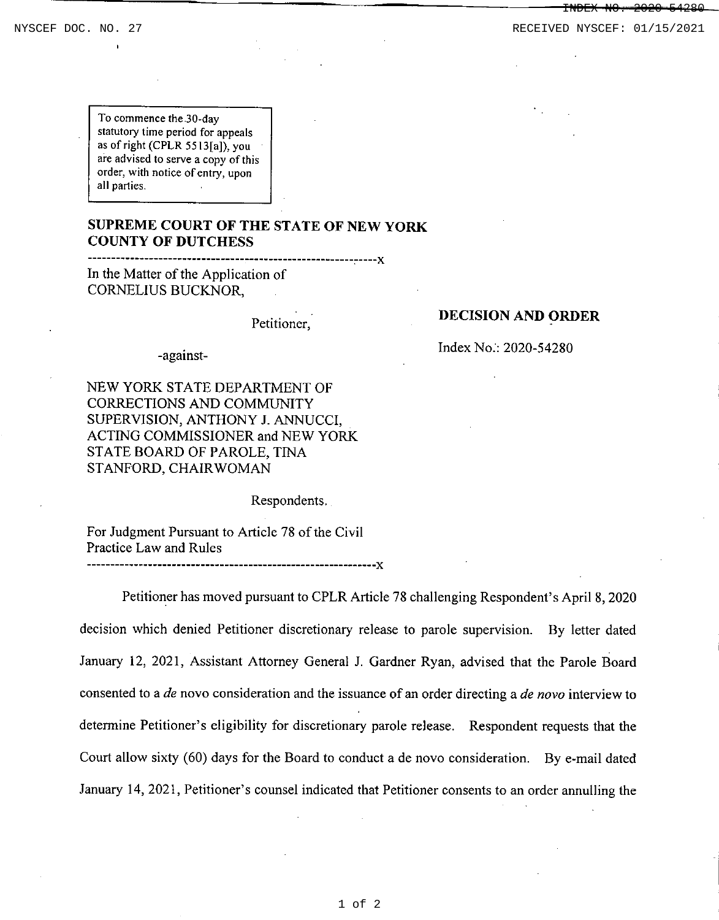INDEX NO. 2020-54280

NYSCEF DOC. NO. 27 **RECEIVED NYSCEF: 01/15/2021** 

To commence the 30-day statutory time period for appeals as of right (CPLR 5513[a]), you are advised to serve a copy of this **order, with notice of entry, upon** all parties.

## **SUPREME COURT OF THE STATE OF NEW YORK COUNTY OF DUTCHESS**

--------------------------------------------------------c----)[

In the Matter of the Application of CORNELIUS BUCKNOR,

Petitioner,

-against-

NEW YORK STATE DEPARTMENT OF CORRECTIONS AND COMMUNITY SUPERVISION, ANTHONY J. ANNUCCI, ACTING COMMISSIONER and NEW YORK STATE BOARD OF PAROLE, TINA STANFORD, CHAIR WOMAN

Respondents.

For Judgment Pursuant to Article 78 of the Civil Practice Law and Rules

-------------------------------------------------------------)[

Petitioner has moved pursuant to CPLR Article 78 challenging Respondent's April 8,2020 decision which denied Petitioner discretionary release to parole supervision. By letter dated January 12, 2021, Assistant Attorney General J. Gardner Ryan, advised that the Parole Board consented to a *de* novo consideration and the issuance of an order directing a *de novo* interview to determine Petitioner's eligibility for discretionary parole release. Respondent requests that the Court allow sixty (60) days for the Board to conduct a de novo consideration. By e-mail dated January 14,2021, Petitioner's counsel indicated that Petitioner consents to an order annulling the

#### **DECISION AND ORDER**

Index No.: 2020-54280